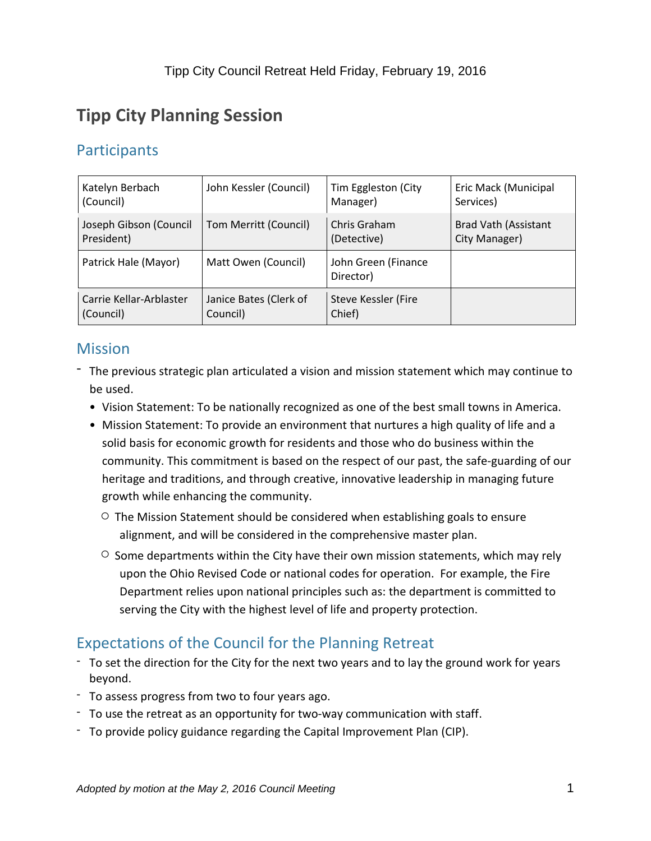# **Tipp City Planning Session**

## **Participants**

| Katelyn Berbach         | John Kessler (Council) | Tim Eggleston (City              | Eric Mack (Municipal        |
|-------------------------|------------------------|----------------------------------|-----------------------------|
| (Council)               |                        | Manager)                         | Services)                   |
| Joseph Gibson (Council  | Tom Merritt (Council)  | Chris Graham                     | <b>Brad Vath (Assistant</b> |
| President)              |                        | (Detective)                      | City Manager)               |
| Patrick Hale (Mayor)    | Matt Owen (Council)    | John Green (Finance<br>Director) |                             |
| Carrie Kellar-Arblaster | Janice Bates (Clerk of | <b>Steve Kessler (Fire</b>       |                             |
| (Council)               | Council)               | Chief)                           |                             |

## **Mission**

- The previous strategic plan articulated a vision and mission statement which may continue to be used.
	- Vision Statement: To be nationally recognized as one of the best small towns in America.
	- Mission Statement: To provide an environment that nurtures a high quality of life and a solid basis for economic growth for residents and those who do business within the community. This commitment is based on the respect of our past, the safe-guarding of our heritage and traditions, and through creative, innovative leadership in managing future growth while enhancing the community.
		- $\circ$  The Mission Statement should be considered when establishing goals to ensure alignment, and will be considered in the comprehensive master plan.
		- $\circ$  Some departments within the City have their own mission statements, which may rely upon the Ohio Revised Code or national codes for operation. For example, the Fire Department relies upon national principles such as: the department is committed to serving the City with the highest level of life and property protection.

# Expectations of the Council for the Planning Retreat

- To set the direction for the City for the next two years and to lay the ground work for years beyond.
- To assess progress from two to four years ago.
- To use the retreat as an opportunity for two-way communication with staff.
- To provide policy guidance regarding the Capital Improvement Plan (CIP).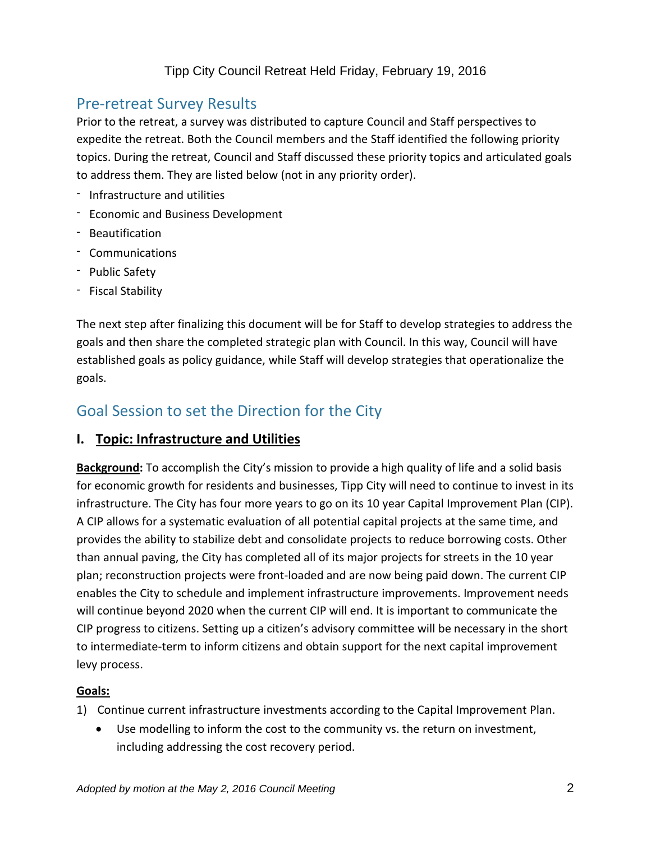## Pre-retreat Survey Results

Prior to the retreat, a survey was distributed to capture Council and Staff perspectives to expedite the retreat. Both the Council members and the Staff identified the following priority topics. During the retreat, Council and Staff discussed these priority topics and articulated goals to address them. They are listed below (not in any priority order).

- Infrastructure and utilities
- Economic and Business Development
- Beautification
- Communications
- Public Safety
- Fiscal Stability

The next step after finalizing this document will be for Staff to develop strategies to address the goals and then share the completed strategic plan with Council. In this way, Council will have established goals as policy guidance, while Staff will develop strategies that operationalize the goals.

## Goal Session to set the Direction for the City

#### **I. Topic: Infrastructure and Utilities**

**Background:** To accomplish the City's mission to provide a high quality of life and a solid basis for economic growth for residents and businesses, Tipp City will need to continue to invest in its infrastructure. The City has four more years to go on its 10 year Capital Improvement Plan (CIP). A CIP allows for a systematic evaluation of all potential capital projects at the same time, and provides the ability to stabilize debt and consolidate projects to reduce borrowing costs. Other than annual paving, the City has completed all of its major projects for streets in the 10 year plan; reconstruction projects were front-loaded and are now being paid down. The current CIP enables the City to schedule and implement infrastructure improvements. Improvement needs will continue beyond 2020 when the current CIP will end. It is important to communicate the CIP progress to citizens. Setting up a citizen's advisory committee will be necessary in the short to intermediate-term to inform citizens and obtain support for the next capital improvement levy process.

#### **Goals:**

- 1) Continue current infrastructure investments according to the Capital Improvement Plan.
	- Use modelling to inform the cost to the community vs. the return on investment, including addressing the cost recovery period.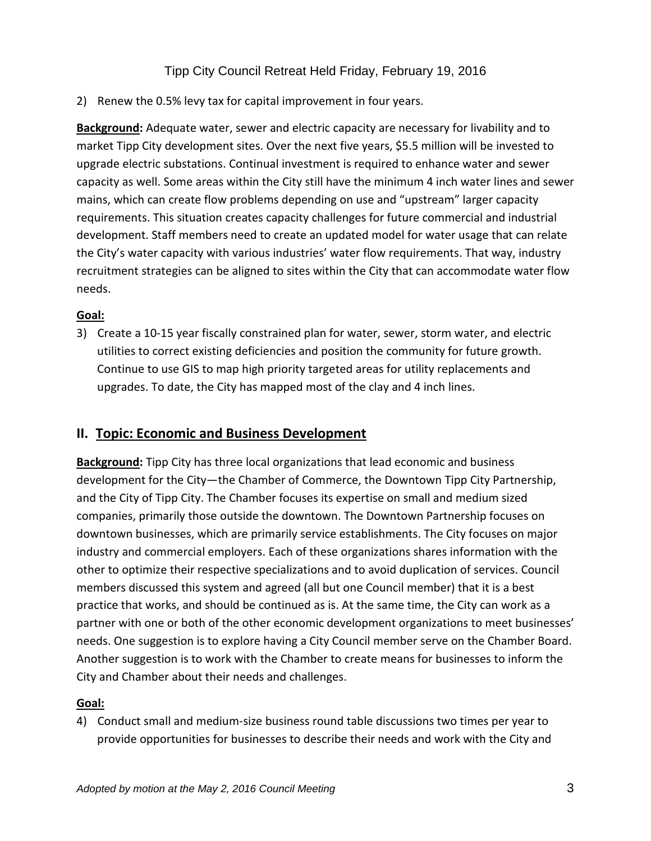2) Renew the 0.5% levy tax for capital improvement in four years.

**Background:** Adequate water, sewer and electric capacity are necessary for livability and to market Tipp City development sites. Over the next five years, \$5.5 million will be invested to upgrade electric substations. Continual investment is required to enhance water and sewer capacity as well. Some areas within the City still have the minimum 4 inch water lines and sewer mains, which can create flow problems depending on use and "upstream" larger capacity requirements. This situation creates capacity challenges for future commercial and industrial development. Staff members need to create an updated model for water usage that can relate the City's water capacity with various industries' water flow requirements. That way, industry recruitment strategies can be aligned to sites within the City that can accommodate water flow needs.

#### **Goal:**

3) Create a 10-15 year fiscally constrained plan for water, sewer, storm water, and electric utilities to correct existing deficiencies and position the community for future growth. Continue to use GIS to map high priority targeted areas for utility replacements and upgrades. To date, the City has mapped most of the clay and 4 inch lines.

#### **II. Topic: Economic and Business Development**

**Background:** Tipp City has three local organizations that lead economic and business development for the City—the Chamber of Commerce, the Downtown Tipp City Partnership, and the City of Tipp City. The Chamber focuses its expertise on small and medium sized companies, primarily those outside the downtown. The Downtown Partnership focuses on downtown businesses, which are primarily service establishments. The City focuses on major industry and commercial employers. Each of these organizations shares information with the other to optimize their respective specializations and to avoid duplication of services. Council members discussed this system and agreed (all but one Council member) that it is a best practice that works, and should be continued as is. At the same time, the City can work as a partner with one or both of the other economic development organizations to meet businesses' needs. One suggestion is to explore having a City Council member serve on the Chamber Board. Another suggestion is to work with the Chamber to create means for businesses to inform the City and Chamber about their needs and challenges.

#### **Goal:**

4) Conduct small and medium-size business round table discussions two times per year to provide opportunities for businesses to describe their needs and work with the City and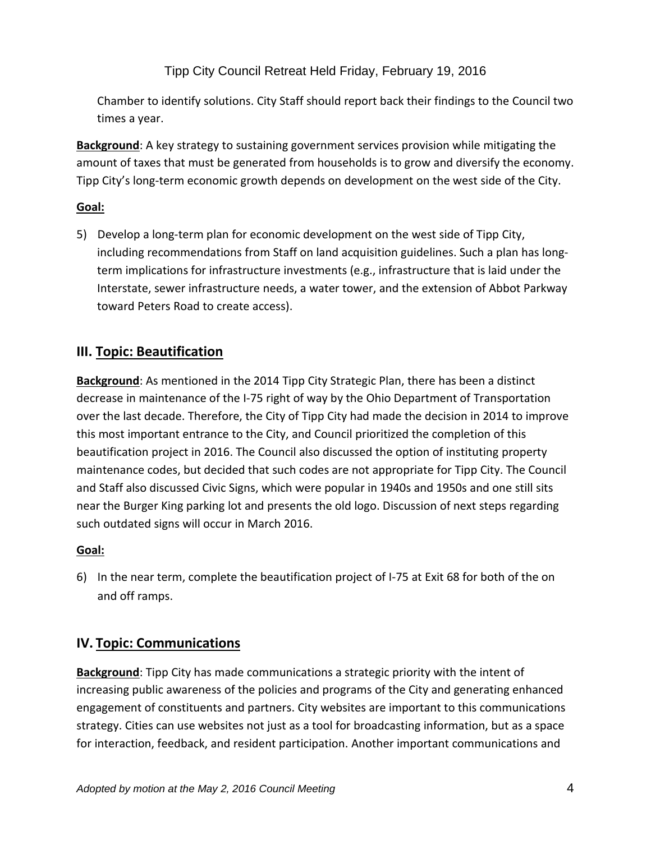Tipp City Council Retreat Held Friday, February 19, 2016

Chamber to identify solutions. City Staff should report back their findings to the Council two times a year.

**Background**: A key strategy to sustaining government services provision while mitigating the amount of taxes that must be generated from households is to grow and diversify the economy. Tipp City's long-term economic growth depends on development on the west side of the City.

#### **Goal:**

5) Develop a long-term plan for economic development on the west side of Tipp City, including recommendations from Staff on land acquisition guidelines. Such a plan has longterm implications for infrastructure investments (e.g., infrastructure that is laid under the Interstate, sewer infrastructure needs, a water tower, and the extension of Abbot Parkway toward Peters Road to create access).

### **III. Topic: Beautification**

**Background**: As mentioned in the 2014 Tipp City Strategic Plan, there has been a distinct decrease in maintenance of the I-75 right of way by the Ohio Department of Transportation over the last decade. Therefore, the City of Tipp City had made the decision in 2014 to improve this most important entrance to the City, and Council prioritized the completion of this beautification project in 2016. The Council also discussed the option of instituting property maintenance codes, but decided that such codes are not appropriate for Tipp City. The Council and Staff also discussed Civic Signs, which were popular in 1940s and 1950s and one still sits near the Burger King parking lot and presents the old logo. Discussion of next steps regarding such outdated signs will occur in March 2016.

#### **Goal:**

6) In the near term, complete the beautification project of I-75 at Exit 68 for both of the on and off ramps.

## **IV. Topic: Communications**

**Background**: Tipp City has made communications a strategic priority with the intent of increasing public awareness of the policies and programs of the City and generating enhanced engagement of constituents and partners. City websites are important to this communications strategy. Cities can use websites not just as a tool for broadcasting information, but as a space for interaction, feedback, and resident participation. Another important communications and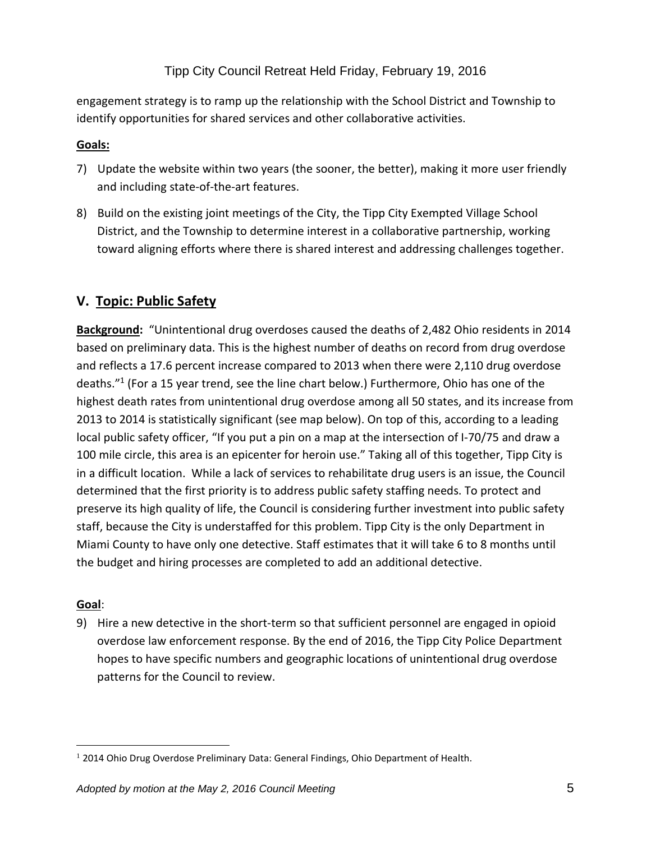### Tipp City Council Retreat Held Friday, February 19, 2016

engagement strategy is to ramp up the relationship with the School District and Township to identify opportunities for shared services and other collaborative activities.

#### **Goals:**

- 7) Update the website within two years (the sooner, the better), making it more user friendly and including state-of-the-art features.
- 8) Build on the existing joint meetings of the City, the Tipp City Exempted Village School District, and the Township to determine interest in a collaborative partnership, working toward aligning efforts where there is shared interest and addressing challenges together.

## **V. Topic: Public Safety**

**Background:** "Unintentional drug overdoses caused the deaths of 2,482 Ohio residents in 2014 based on preliminary data. This is the highest number of deaths on record from drug overdose and reflects a 17.6 percent increase compared to 2013 when there were 2,110 drug overdose deaths."<sup>1</sup> (For a 15 year trend, see the line chart below.) Furthermore, Ohio has one of the highest death rates from unintentional drug overdose among all 50 states, and its increase from 2013 to 2014 is statistically significant (see map below). On top of this, according to a leading local public safety officer, "If you put a pin on a map at the intersection of I-70/75 and draw a 100 mile circle, this area is an epicenter for heroin use." Taking all of this together, Tipp City is in a difficult location. While a lack of services to rehabilitate drug users is an issue, the Council determined that the first priority is to address public safety staffing needs. To protect and preserve its high quality of life, the Council is considering further investment into public safety staff, because the City is understaffed for this problem. Tipp City is the only Department in Miami County to have only one detective. Staff estimates that it will take 6 to 8 months until the budget and hiring processes are completed to add an additional detective.

#### **Goal**:

 $\overline{a}$ 

9) Hire a new detective in the short-term so that sufficient personnel are engaged in opioid overdose law enforcement response. By the end of 2016, the Tipp City Police Department hopes to have specific numbers and geographic locations of unintentional drug overdose patterns for the Council to review.

<sup>&</sup>lt;sup>1</sup> 2014 Ohio Drug Overdose Preliminary Data: General Findings, Ohio Department of Health.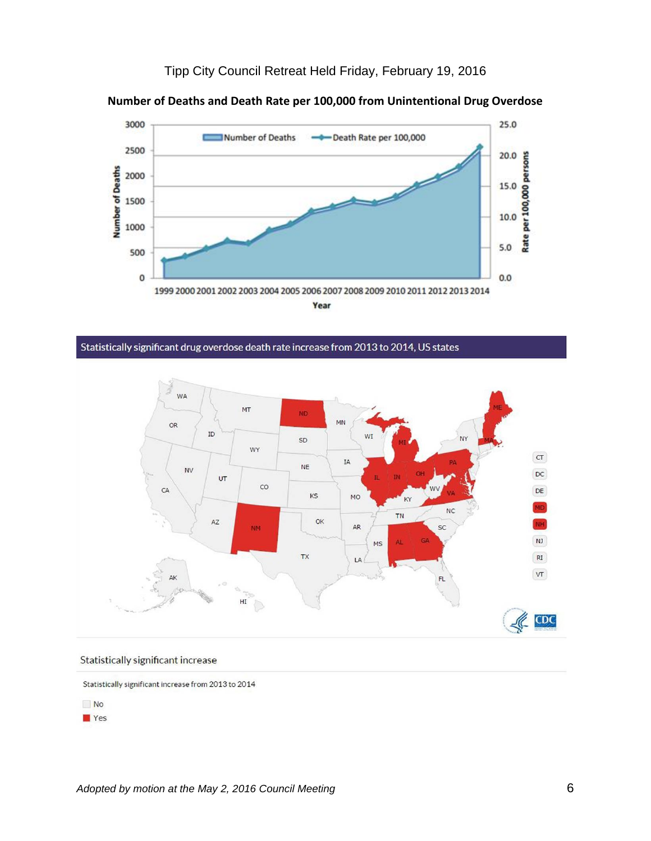



**Number of Deaths and Death Rate per 100,000 from Unintentional Drug Overdose**

Statistically significant drug overdose death rate increase from 2013 to 2014, US states



#### Statistically significant increase

Statistically significant increase from 2013 to 2014



Yes